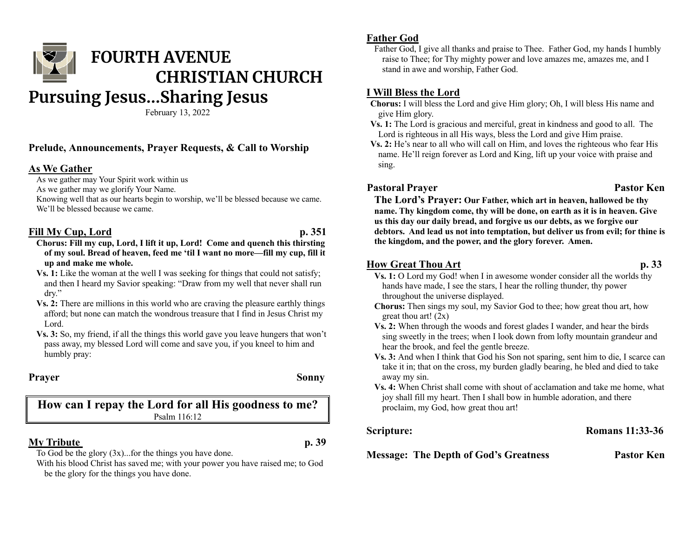

# **FOURTH AVENUE CHRISTIAN CHURCH**

# **Pursuing Jesus…Sharing Jesus**

February 13, 2022

# **Prelude, Announcements, Prayer Requests, & Call to Worship**

# **As We Gather**

As we gather may Your Spirit work within us

As we gather may we glorify Your Name.

Knowing well that as our hearts begin to worship, we'll be blessed because we came. We'll be blessed because we came.

# Fill My Cup, Lord p. 351

- **Chorus: Fill my cup, Lord, I lift it up, Lord! Come and quench this thirsting of my soul. Bread of heaven, feed me 'til I want no more—fill my cup, fill it up and make me whole.**
- **Vs. 1:** Like the woman at the well I was seeking for things that could not satisfy; and then I heard my Savior speaking: "Draw from my well that never shall run dry."
- **Vs. 2:** There are millions in this world who are craving the pleasure earthly things afford; but none can match the wondrous treasure that I find in Jesus Christ my Lord.
- **Vs. 3:** So, my friend, if all the things this world gave you leave hungers that won't pass away, my blessed Lord will come and save you, if you kneel to him and humbly pray:

# **Prayer Sonny**

**How can I repay the Lord for all His goodness to me?** Psalm 116:12

# **My Tribute** p. 39

To God be the glory (3x)...for the things you have done.

With his blood Christ has saved me; with your power you have raised me; to God be the glory for the things you have done.

# **Father God**

Father God, I give all thanks and praise to Thee. Father God, my hands I humbly raise to Thee; for Thy mighty power and love amazes me, amazes me, and I stand in awe and worship, Father God.

# **I Will Bless the Lord**

- **Chorus:** I will bless the Lord and give Him glory; Oh, I will bless His name and give Him glory.
- **Vs. 1:** The Lord is gracious and merciful, great in kindness and good to all. The Lord is righteous in all His ways, bless the Lord and give Him praise.
- **Vs. 2:** He's near to all who will call on Him, and loves the righteous who fear His name. He'll reign forever as Lord and King, lift up your voice with praise and sing.

# **Pastoral Prayer Pastor Ken**

**The Lord's Prayer: Our Father, which art in heaven, hallowed be thy name. Thy kingdom come, thy will be done, on earth as it is in heaven. Give us this day our daily bread, and forgive us our debts, as we forgive our debtors. And lead us not into temptation, but deliver us from evil; for thine is the kingdom, and the power, and the glory forever. Amen.**

# **How Great Thou Art p. 33**

### **Vs. 1:** O Lord my God! when I in awesome wonder consider all the worlds thy hands have made, I see the stars, I hear the rolling thunder, thy power throughout the universe displayed.

- **Chorus:** Then sings my soul, my Savior God to thee; how great thou art, how great thou art!  $(2x)$
- **Vs. 2:** When through the woods and forest glades I wander, and hear the birds sing sweetly in the trees; when I look down from lofty mountain grandeur and hear the brook, and feel the gentle breeze.
- **Vs. 3:** And when I think that God his Son not sparing, sent him to die, I scarce can take it in; that on the cross, my burden gladly bearing, he bled and died to take away my sin.
- **Vs. 4:** When Christ shall come with shout of acclamation and take me home, what joy shall fill my heart. Then I shall bow in humble adoration, and there proclaim, my God, how great thou art!

# **Scripture: Romans 11:33-36**

**Message: The Depth of God's Greatness Pastor Ken**